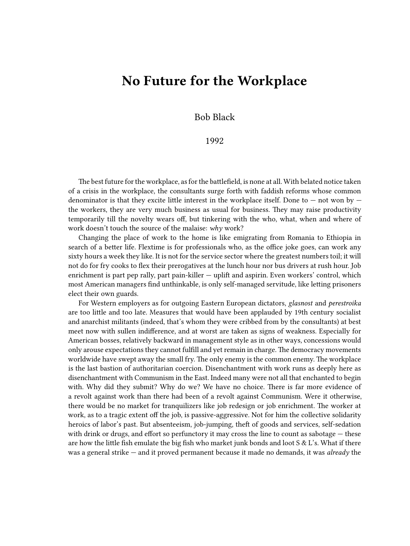## **No Future for the Workplace**

## Bob Black

## 1992

The best future for the workplace, as for the battlefield, is none at all. With belated notice taken of a crisis in the workplace, the consultants surge forth with faddish reforms whose common denominator is that they excite little interest in the workplace itself. Done to  $-$  not won by  $$ the workers, they are very much business as usual for business. They may raise productivity temporarily till the novelty wears off, but tinkering with the who, what, when and where of work doesn't touch the source of the malaise: *why* work?

Changing the place of work to the home is like emigrating from Romania to Ethiopia in search of a better life. Flextime is for professionals who, as the office joke goes, can work any sixty hours a week they like. It is not for the service sector where the greatest numbers toil; it will not do for fry cooks to flex their prerogatives at the lunch hour nor bus drivers at rush hour. Job enrichment is part pep rally, part pain-killer — uplift and aspirin. Even workers' control, which most American managers find unthinkable, is only self-managed servitude, like letting prisoners elect their own guards.

For Western employers as for outgoing Eastern European dictators, *glasnost* and *perestroika* are too little and too late. Measures that would have been applauded by 19th century socialist and anarchist militants (indeed, that's whom they were cribbed from by the consultants) at best meet now with sullen indifference, and at worst are taken as signs of weakness. Especially for American bosses, relatively backward in management style as in other ways, concessions would only arouse expectations they cannot fulfill and yet remain in charge. The democracy movements worldwide have swept away the small fry. The only enemy is the common enemy. The workplace is the last bastion of authoritarian coercion. Disenchantment with work runs as deeply here as disenchantment with Communism in the East. Indeed many were not all that enchanted to begin with. Why did they submit? Why do we? We have no choice. There is far more evidence of a revolt against work than there had been of a revolt against Communism. Were it otherwise, there would be no market for tranquilizers like job redesign or job enrichment. The worker at work, as to a tragic extent off the job, is passive-aggressive. Not for him the collective solidarity heroics of labor's past. But absenteeism, job-jumping, theft of goods and services, self-sedation with drink or drugs, and effort so perfunctory it may cross the line to count as sabotage — these are how the little fish emulate the big fish who market junk bonds and loot  $S \& L$ 's. What if there was a general strike — and it proved permanent because it made no demands, it was *already* the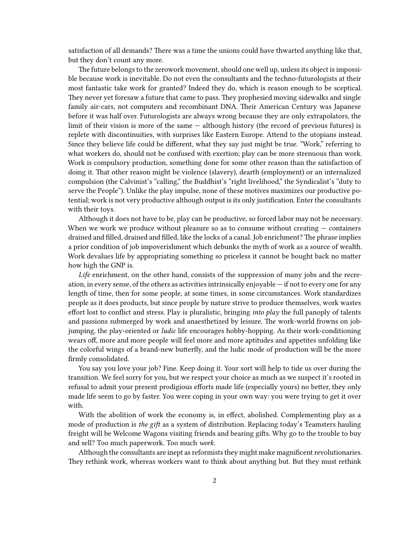satisfaction of all demands? There was a time the unions could have thwarted anything like that, but they don't count any more.

The future belongs to the zerowork movement, should one well up, unless its object is impossible because work is inevitable. Do not even the consultants and the techno-futurologists at their most fantastic take work for granted? Indeed they do, which is reason enough to be sceptical. They never yet foresaw a future that came to pass. They prophesied moving sidewalks and single family air-cars, not computers and recombinant DNA. Their American Century was Japanese before it was half over. Futurologists are always wrong because they are only extrapolators, the limit of their vision is more of the same — although history (the record of previous futures) is replete with discontinuities, with surprises like Eastern Europe. Attend to the utopians instead. Since they believe life could be different, what they say just might be true. "Work," referring to what workers do, should not be confused with exertion; play can be more strenuous than work. Work is compulsory production, something done for some other reason than the satisfaction of doing it. That other reason might be violence (slavery), dearth (employment) or an internalized compulsion (the Calvinist's "calling," the Buddhist's "right livelihood," the Syndicalist's "duty to serve the People"). Unlike the play impulse, none of these motives maximizes our productive potential; work is not very productive although output is its only justification. Enter the consultants with their toys.

Although it does not have to be, play can be productive, so forced labor may not be necessary. When we work we produce without pleasure so as to consume without creating  $-$  containers drained and filled, drained and filled, like the locks of a canal. Job enrichment? The phrase implies a prior condition of job impoverishment which debunks the myth of work as a source of wealth. Work devalues life by appropriating something so priceless it cannot be bought back no matter how high the GNP is.

*Life* enrichment, on the other hand, consists of the suppression of many jobs and the recreation, in every sense, of the others as activities intrinsically enjoyable — if not to every one for any length of time, then for some people, at some times, in some circumstances. Work standardizes people as it does products, but since people by nature strive to produce themselves, work wastes effort lost to conflict and stress. Play is pluralistic, bringing *into play* the full panoply of talents and passions submerged by work and anaesthetized by leisure. The work-world frowns on jobjumping, the play-oriented or *ludic* life encourages hobby-hopping. As their work-conditioning wears off, more and more people will feel more and more aptitudes and appetites unfolding like the colorful wings of a brand-new butterfly, and the ludic mode of production will be the more firmly consolidated.

You say you love your job? Fine. Keep doing it. Your sort will help to tide us over during the transition. We feel sorry for you, but we respect your choice as much as we suspect it's rooted in refusal to admit your present prodigious efforts made life (especially yours) no better, they only made life seem to go by faster. You were coping in your own way: you were trying to get it over with.

With the abolition of work the economy is, in effect, abolished. Complementing play as a mode of production is *the gift* as a system of distribution. Replacing today's Teamsters hauling freight will be Welcome Wagons visiting friends and bearing gifts. Why go to the trouble to buy and sell? Too much paperwork. Too much *work*.

Although the consultants are inept as reformists they might make magnificent revolutionaries. They rethink work, whereas workers want to think about anything but. But they must rethink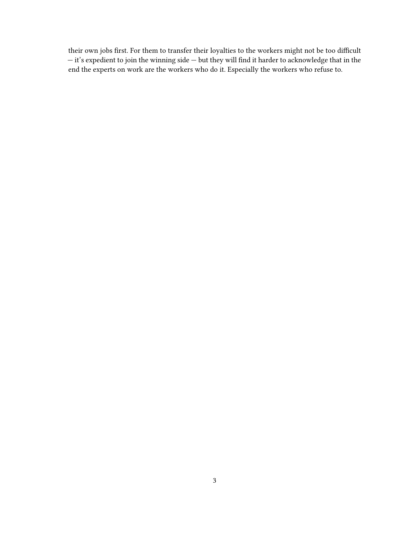their own jobs first. For them to transfer their loyalties to the workers might not be too difficult — it's expedient to join the winning side — but they will find it harder to acknowledge that in the end the experts on work are the workers who do it. Especially the workers who refuse to.